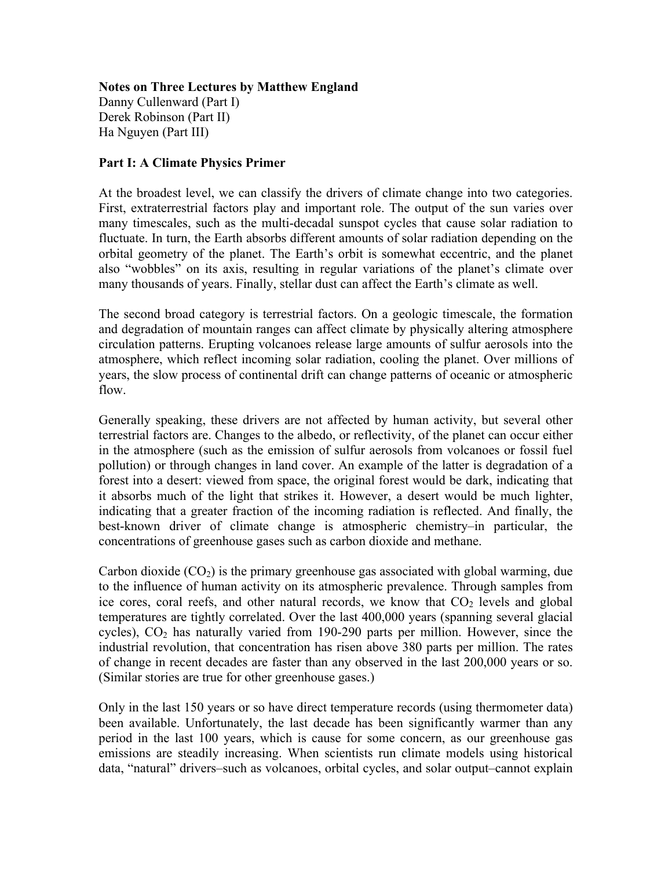## **Notes on Three Lectures by Matthew England** Danny Cullenward (Part I) Derek Robinson (Part II) Ha Nguyen (Part III)

## **Part I: A Climate Physics Primer**

At the broadest level, we can classify the drivers of climate change into two categories. First, extraterrestrial factors play and important role. The output of the sun varies over many timescales, such as the multi-decadal sunspot cycles that cause solar radiation to fluctuate. In turn, the Earth absorbs different amounts of solar radiation depending on the orbital geometry of the planet. The Earth's orbit is somewhat eccentric, and the planet also "wobbles" on its axis, resulting in regular variations of the planet's climate over many thousands of years. Finally, stellar dust can affect the Earth's climate as well.

The second broad category is terrestrial factors. On a geologic timescale, the formation and degradation of mountain ranges can affect climate by physically altering atmosphere circulation patterns. Erupting volcanoes release large amounts of sulfur aerosols into the atmosphere, which reflect incoming solar radiation, cooling the planet. Over millions of years, the slow process of continental drift can change patterns of oceanic or atmospheric flow.

Generally speaking, these drivers are not affected by human activity, but several other terrestrial factors are. Changes to the albedo, or reflectivity, of the planet can occur either in the atmosphere (such as the emission of sulfur aerosols from volcanoes or fossil fuel pollution) or through changes in land cover. An example of the latter is degradation of a forest into a desert: viewed from space, the original forest would be dark, indicating that it absorbs much of the light that strikes it. However, a desert would be much lighter, indicating that a greater fraction of the incoming radiation is reflected. And finally, the best-known driver of climate change is atmospheric chemistry–in particular, the concentrations of greenhouse gases such as carbon dioxide and methane.

Carbon dioxide  $(CO<sub>2</sub>)$  is the primary greenhouse gas associated with global warming, due to the influence of human activity on its atmospheric prevalence. Through samples from ice cores, coral reefs, and other natural records, we know that  $CO<sub>2</sub>$  levels and global temperatures are tightly correlated. Over the last 400,000 years (spanning several glacial cycles),  $CO<sub>2</sub>$  has naturally varied from 190-290 parts per million. However, since the industrial revolution, that concentration has risen above 380 parts per million. The rates of change in recent decades are faster than any observed in the last 200,000 years or so. (Similar stories are true for other greenhouse gases.)

Only in the last 150 years or so have direct temperature records (using thermometer data) been available. Unfortunately, the last decade has been significantly warmer than any period in the last 100 years, which is cause for some concern, as our greenhouse gas emissions are steadily increasing. When scientists run climate models using historical data, "natural" drivers–such as volcanoes, orbital cycles, and solar output–cannot explain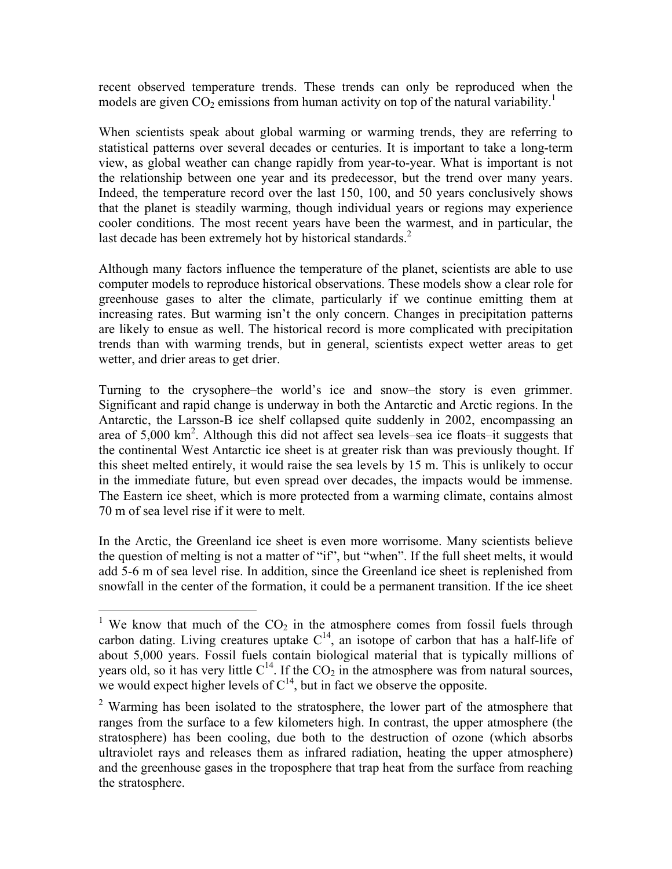recent observed temperature trends. These trends can only be reproduced when the models are given  $CO<sub>2</sub>$  emissions from human activity on top of the natural variability.<sup>1</sup>

When scientists speak about global warming or warming trends, they are referring to statistical patterns over several decades or centuries. It is important to take a long-term view, as global weather can change rapidly from year-to-year. What is important is not the relationship between one year and its predecessor, but the trend over many years. Indeed, the temperature record over the last 150, 100, and 50 years conclusively shows that the planet is steadily warming, though individual years or regions may experience cooler conditions. The most recent years have been the warmest, and in particular, the last decade has been extremely hot by historical standards. $^{2}$ 

Although many factors influence the temperature of the planet, scientists are able to use computer models to reproduce historical observations. These models show a clear role for greenhouse gases to alter the climate, particularly if we continue emitting them at increasing rates. But warming isn't the only concern. Changes in precipitation patterns are likely to ensue as well. The historical record is more complicated with precipitation trends than with warming trends, but in general, scientists expect wetter areas to get wetter, and drier areas to get drier.

Turning to the crysophere–the world's ice and snow–the story is even grimmer. Significant and rapid change is underway in both the Antarctic and Arctic regions. In the Antarctic, the Larsson-B ice shelf collapsed quite suddenly in 2002, encompassing an area of 5,000 km<sup>2</sup>. Although this did not affect sea levels–sea ice floats–it suggests that the continental West Antarctic ice sheet is at greater risk than was previously thought. If this sheet melted entirely, it would raise the sea levels by 15 m. This is unlikely to occur in the immediate future, but even spread over decades, the impacts would be immense. The Eastern ice sheet, which is more protected from a warming climate, contains almost 70 m of sea level rise if it were to melt.

In the Arctic, the Greenland ice sheet is even more worrisome. Many scientists believe the question of melting is not a matter of "if", but "when". If the full sheet melts, it would add 5-6 m of sea level rise. In addition, since the Greenland ice sheet is replenished from snowfall in the center of the formation, it could be a permanent transition. If the ice sheet

<sup>&</sup>lt;sup>1</sup> We know that much of the  $CO<sub>2</sub>$  in the atmosphere comes from fossil fuels through carbon dating. Living creatures uptake  $C^{14}$ , an isotope of carbon that has a half-life of about 5,000 years. Fossil fuels contain biological material that is typically millions of years old, so it has very little  $C^{14}$ . If the  $CO_2$  in the atmosphere was from natural sources, we would expect higher levels of  $C^{14}$ , but in fact we observe the opposite.

 $2$  Warming has been isolated to the stratosphere, the lower part of the atmosphere that ranges from the surface to a few kilometers high. In contrast, the upper atmosphere (the stratosphere) has been cooling, due both to the destruction of ozone (which absorbs ultraviolet rays and releases them as infrared radiation, heating the upper atmosphere) and the greenhouse gases in the troposphere that trap heat from the surface from reaching the stratosphere.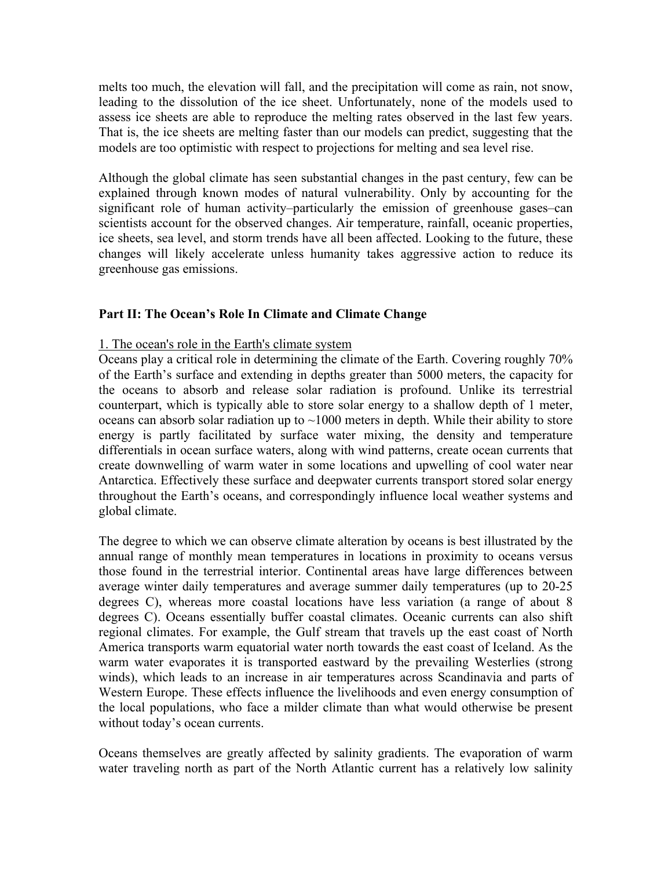melts too much, the elevation will fall, and the precipitation will come as rain, not snow, leading to the dissolution of the ice sheet. Unfortunately, none of the models used to assess ice sheets are able to reproduce the melting rates observed in the last few years. That is, the ice sheets are melting faster than our models can predict, suggesting that the models are too optimistic with respect to projections for melting and sea level rise.

Although the global climate has seen substantial changes in the past century, few can be explained through known modes of natural vulnerability. Only by accounting for the significant role of human activity–particularly the emission of greenhouse gases–can scientists account for the observed changes. Air temperature, rainfall, oceanic properties, ice sheets, sea level, and storm trends have all been affected. Looking to the future, these changes will likely accelerate unless humanity takes aggressive action to reduce its greenhouse gas emissions.

## **Part II: The Ocean's Role In Climate and Climate Change**

### 1. The ocean's role in the Earth's climate system

Oceans play a critical role in determining the climate of the Earth. Covering roughly 70% of the Earth's surface and extending in depths greater than 5000 meters, the capacity for the oceans to absorb and release solar radiation is profound. Unlike its terrestrial counterpart, which is typically able to store solar energy to a shallow depth of 1 meter, oceans can absorb solar radiation up to  $\sim$ 1000 meters in depth. While their ability to store energy is partly facilitated by surface water mixing, the density and temperature differentials in ocean surface waters, along with wind patterns, create ocean currents that create downwelling of warm water in some locations and upwelling of cool water near Antarctica. Effectively these surface and deepwater currents transport stored solar energy throughout the Earth's oceans, and correspondingly influence local weather systems and global climate.

The degree to which we can observe climate alteration by oceans is best illustrated by the annual range of monthly mean temperatures in locations in proximity to oceans versus those found in the terrestrial interior. Continental areas have large differences between average winter daily temperatures and average summer daily temperatures (up to 20-25 degrees C), whereas more coastal locations have less variation (a range of about 8 degrees C). Oceans essentially buffer coastal climates. Oceanic currents can also shift regional climates. For example, the Gulf stream that travels up the east coast of North America transports warm equatorial water north towards the east coast of Iceland. As the warm water evaporates it is transported eastward by the prevailing Westerlies (strong winds), which leads to an increase in air temperatures across Scandinavia and parts of Western Europe. These effects influence the livelihoods and even energy consumption of the local populations, who face a milder climate than what would otherwise be present without today's ocean currents.

Oceans themselves are greatly affected by salinity gradients. The evaporation of warm water traveling north as part of the North Atlantic current has a relatively low salinity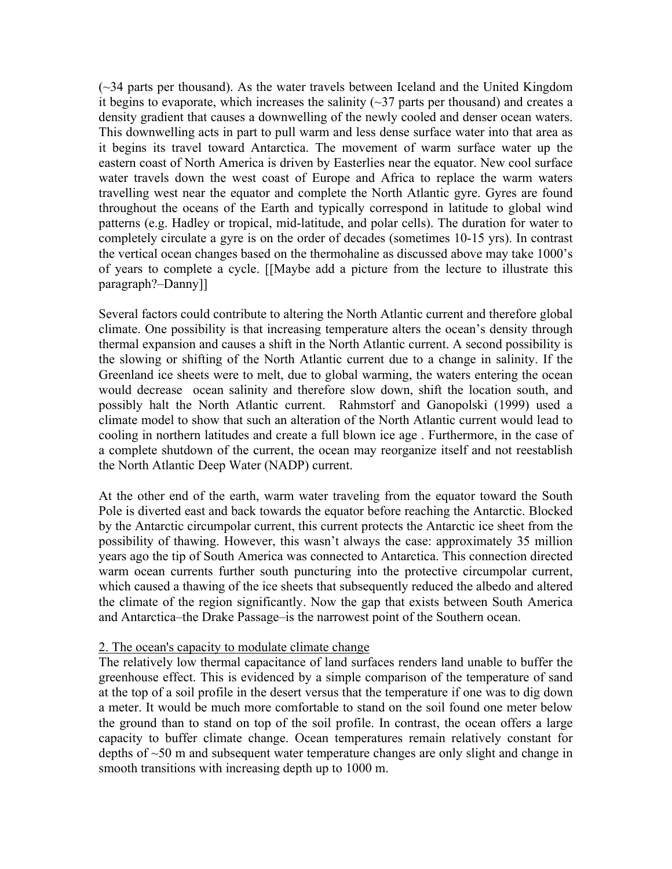(~34 parts per thousand). As the water travels between Iceland and the United Kingdom it begins to evaporate, which increases the salinity  $(\sim]37$  parts per thousand) and creates a density gradient that causes a downwelling of the newly cooled and denser ocean waters. This downwelling acts in part to pull warm and less dense surface water into that area as it begins its travel toward Antarctica. The movement of warm surface water up the eastern coast of North America is driven by Easterlies near the equator. New cool surface water travels down the west coast of Europe and Africa to replace the warm waters travelling west near the equator and complete the North Atlantic gyre. Gyres are found throughout the oceans of the Earth and typically correspond in latitude to global wind patterns (e.g. Hadley or tropical, mid-latitude, and polar cells). The duration for water to completely circulate a gyre is on the order of decades (sometimes 10-15 yrs). In contrast the vertical ocean changes based on the thermohaline as discussed above may take 1000's of years to complete a cycle. [[Maybe add a picture from the lecture to illustrate this paragraph?–Danny]]

Several factors could contribute to altering the North Atlantic current and therefore global climate. One possibility is that increasing temperature alters the ocean's density through thermal expansion and causes a shift in the North Atlantic current. A second possibility is the slowing or shifting of the North Atlantic current due to a change in salinity. If the Greenland ice sheets were to melt, due to global warming, the waters entering the ocean would decrease ocean salinity and therefore slow down, shift the location south, and possibly halt the North Atlantic current. Rahmstorf and Ganopolski (1999) used a climate model to show that such an alteration of the North Atlantic current would lead to cooling in northern latitudes and create a full blown ice age . Furthermore, in the case of a complete shutdown of the current, the ocean may reorganize itself and not reestablish the North Atlantic Deep Water (NADP) current.

At the other end of the earth, warm water traveling from the equator toward the South Pole is diverted east and back towards the equator before reaching the Antarctic. Blocked by the Antarctic circumpolar current, this current protects the Antarctic ice sheet from the possibility of thawing. However, this wasn't always the case: approximately 35 million years ago the tip of South America was connected to Antarctica. This connection directed warm ocean currents further south puncturing into the protective circumpolar current, which caused a thawing of the ice sheets that subsequently reduced the albedo and altered the climate of the region significantly. Now the gap that exists between South America and Antarctica–the Drake Passage–is the narrowest point of the Southern ocean.

#### 2. The ocean's capacity to modulate climate change

The relatively low thermal capacitance of land surfaces renders land unable to buffer the greenhouse effect. This is evidenced by a simple comparison of the temperature of sand at the top of a soil profile in the desert versus that the temperature if one was to dig down a meter. It would be much more comfortable to stand on the soil found one meter below the ground than to stand on top of the soil profile. In contrast, the ocean offers a large capacity to buffer climate change. Ocean temperatures remain relatively constant for depths of ~50 m and subsequent water temperature changes are only slight and change in smooth transitions with increasing depth up to 1000 m.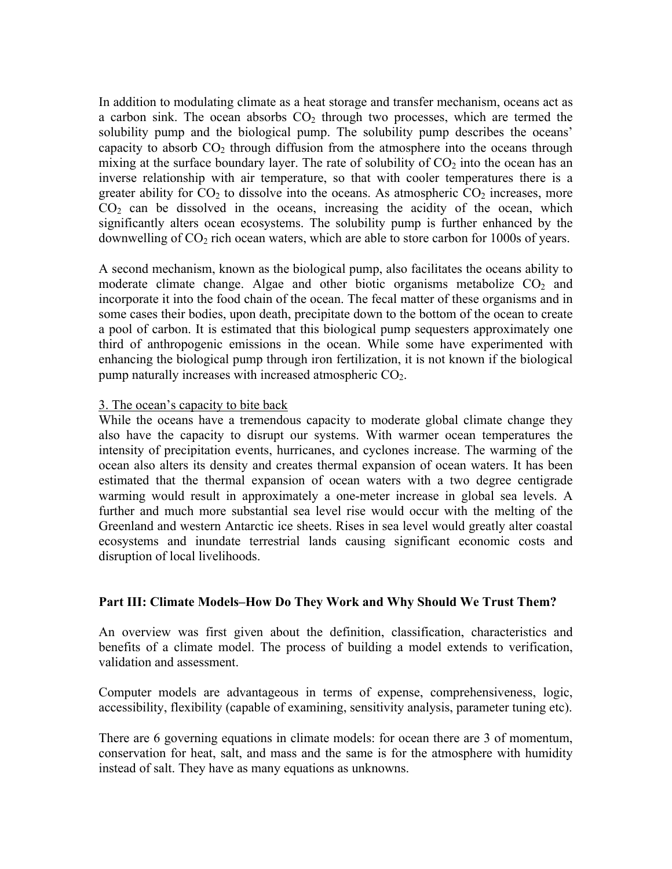In addition to modulating climate as a heat storage and transfer mechanism, oceans act as a carbon sink. The ocean absorbs  $CO<sub>2</sub>$  through two processes, which are termed the solubility pump and the biological pump. The solubility pump describes the oceans' capacity to absorb  $CO<sub>2</sub>$  through diffusion from the atmosphere into the oceans through mixing at the surface boundary layer. The rate of solubility of  $CO<sub>2</sub>$  into the ocean has an inverse relationship with air temperature, so that with cooler temperatures there is a greater ability for  $CO<sub>2</sub>$  to dissolve into the oceans. As atmospheric  $CO<sub>2</sub>$  increases, more  $CO<sub>2</sub>$  can be dissolved in the oceans, increasing the acidity of the ocean, which significantly alters ocean ecosystems. The solubility pump is further enhanced by the downwelling of  $CO<sub>2</sub>$  rich ocean waters, which are able to store carbon for 1000s of years.

A second mechanism, known as the biological pump, also facilitates the oceans ability to moderate climate change. Algae and other biotic organisms metabolize  $CO<sub>2</sub>$  and incorporate it into the food chain of the ocean. The fecal matter of these organisms and in some cases their bodies, upon death, precipitate down to the bottom of the ocean to create a pool of carbon. It is estimated that this biological pump sequesters approximately one third of anthropogenic emissions in the ocean. While some have experimented with enhancing the biological pump through iron fertilization, it is not known if the biological pump naturally increases with increased atmospheric  $CO<sub>2</sub>$ .

### 3. The ocean's capacity to bite back

While the oceans have a tremendous capacity to moderate global climate change they also have the capacity to disrupt our systems. With warmer ocean temperatures the intensity of precipitation events, hurricanes, and cyclones increase. The warming of the ocean also alters its density and creates thermal expansion of ocean waters. It has been estimated that the thermal expansion of ocean waters with a two degree centigrade warming would result in approximately a one-meter increase in global sea levels. A further and much more substantial sea level rise would occur with the melting of the Greenland and western Antarctic ice sheets. Rises in sea level would greatly alter coastal ecosystems and inundate terrestrial lands causing significant economic costs and disruption of local livelihoods.

### **Part III: Climate Models–How Do They Work and Why Should We Trust Them?**

An overview was first given about the definition, classification, characteristics and benefits of a climate model. The process of building a model extends to verification, validation and assessment.

Computer models are advantageous in terms of expense, comprehensiveness, logic, accessibility, flexibility (capable of examining, sensitivity analysis, parameter tuning etc).

There are 6 governing equations in climate models: for ocean there are 3 of momentum, conservation for heat, salt, and mass and the same is for the atmosphere with humidity instead of salt. They have as many equations as unknowns.